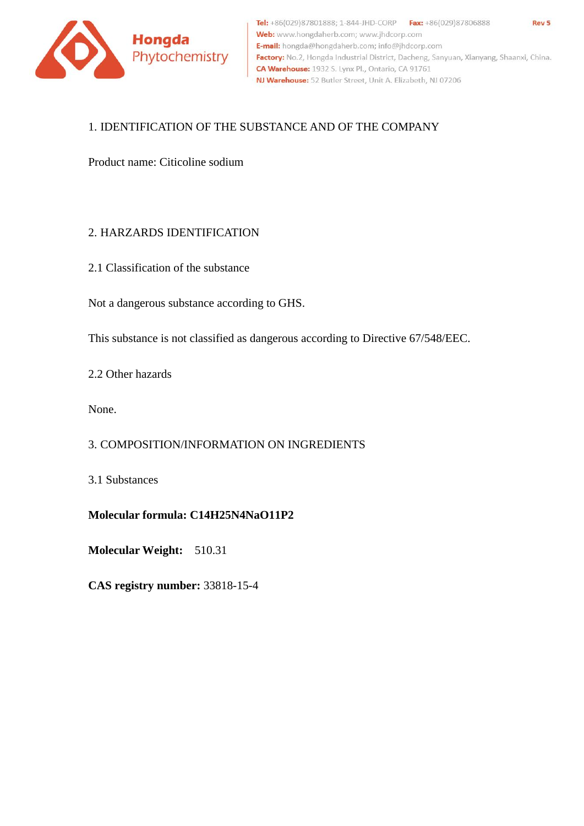

# 1. IDENTIFICATION OF THE SUBSTANCE AND OF THE COMPANY

Product name: Citicoline sodium

# 2. HARZARDS IDENTIFICATION

2.1 Cla[ssification of the substance](mailto:tuoxin@tuoxingroup.com)

Not a dangerous substance according to GHS.

This substance is not classified as dangerous according to Directive 67/548/EEC.

2.2 Other hazards

None.

### 3. COMPOSITION/INFORMATION ON INGREDIENTS

3.1 Substances

# **Molecular formula: C14H25N4NaO11P2**

**Molecular Weight:** 510.31

**CAS registry number:** 33818-15-4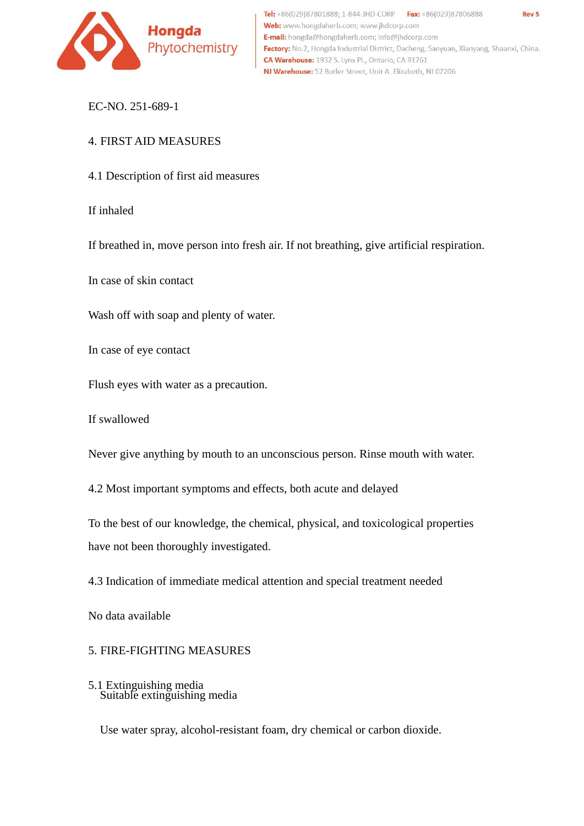

Tel: +86(029)87801888; 1-844-JHD-CORP Fax: +86(029)87806888 Rev<sub>5</sub> Web: www.hongdaherb.com; www.jhdcorp.com E-mail: hongda@hongdaherb.com; info@jhdcorp.com Factory: No.2, Hongda Industrial District, Dacheng, Sanyuan, Xianyang, Shaanxi, China. CA Warehouse: 1932 S. Lynx Pl., Ontario, CA 91761 NJ Warehouse: 52 Butler Street, Unit A. Elizabeth, NJ 07206

EC-NO. 251-689-1

# 4. FIRST AID MEASURES

4.1 Description of first aid measures

If inhaled

If breathed in, move person into fresh air. If not breathing, give artificial respiration.

In case of skin contact

Wash off with soap and plenty of water.

In case of eye contact

Flush eyes with water as a precaution.

If swallowed

Never give anything by mouth to an unconscious person. Rinse mouth with water.

4.2 Most important symptoms and effects, both acute and delayed

To the best of our knowledge, the chemical, physical, and toxicological properties have not been thoroughly investigated.

4.3 Indication of immediate medical attention and special treatment needed

No data available

### 5. FIRE-FIGHTING MEASURES

5.1 Extinguishing media Suitable extinguishing media

Use water spray, alcohol-resistant foam, dry chemical or carbon dioxide.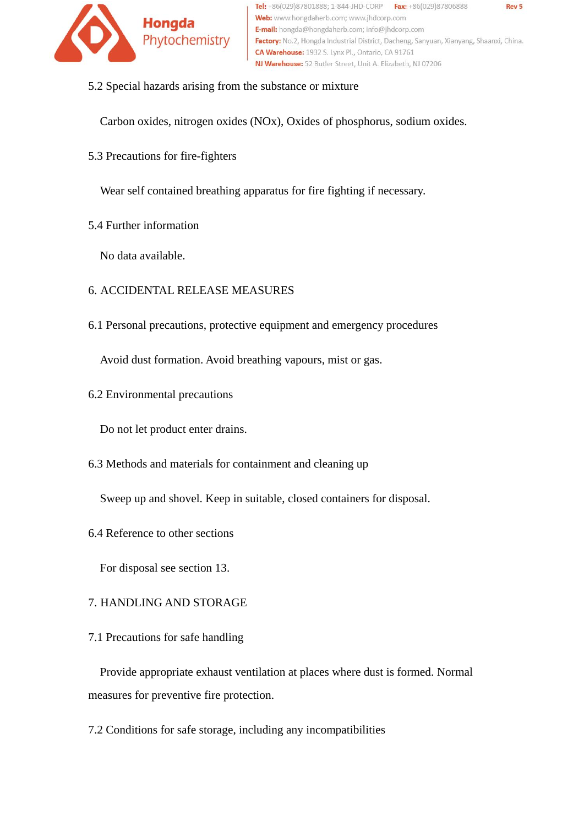

5.2 Special hazards arising from the substance or mixture

Carbon oxides, nitrogen oxides (NOx), Oxides of phosphorus, sodium oxides.

5.3 Precautions for fire-fighters

Wear self contained breathing apparatus for fire fighting if necessary.

5.4 Further information

No data available.

- 6. ACCIDENTAL RELEASE MEASURES
- 6.1 Personal precautions, protective equipment and emergency procedures

Avoid dust formation. Avoid breathing vapours, mist or gas.

6.2 Environmental precautions

Do not let product enter drains.

6.3 Methods and materials for containment and cleaning up

Sweep up and shovel. Keep in suitable, closed containers for disposal.

6.4 Reference to other sections

For disposal see section 13.

# 7. HANDLING AND STORAGE

7.1 Precautions for safe handling

 Provide appropriate exhaust ventilation at places where dust is formed. Normal measures for preventive fire protection.

7.2 Conditions for safe storage, including any incompatibilities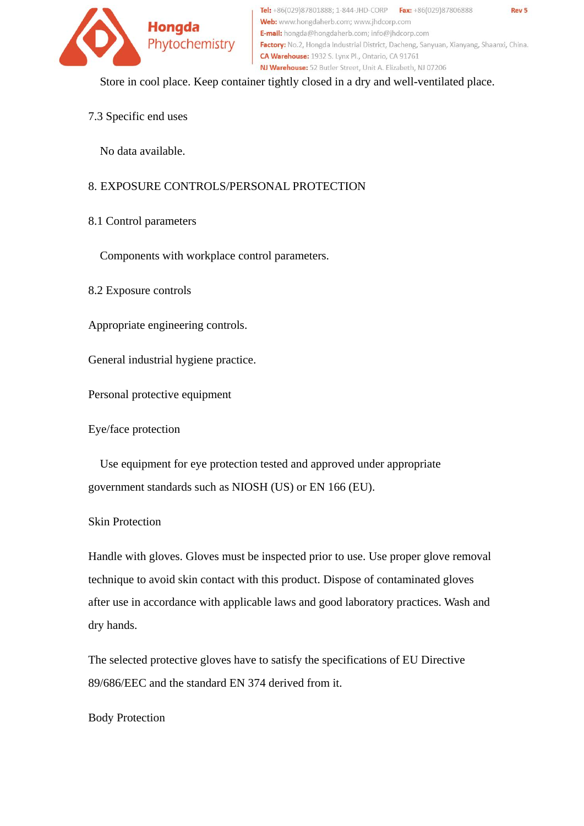

Tel: +86(029)87801888; 1-844-JHD-CORP Fax: +86(029)87806888 Rev<sub>5</sub> Web: www.hongdaherb.com; www.jhdcorp.com E-mail: hongda@hongdaherb.com; info@jhdcorp.com Factory: No.2, Hongda Industrial District, Dacheng, Sanyuan, Xianyang, Shaanxi, China. CA Warehouse: 1932 S. Lynx Pl., Ontario, CA 91761 NJ Warehouse: 52 Butler Street, Unit A. Elizabeth, NJ 07206

Store in cool place. Keep container tightly closed in a dry and well-ventilated place.

7.3 Specific end uses

No data available.

# 8. EXPOSURE CONTROLS/PERSONAL PROTECTION

8.1 Control parameters

Components with workplace control parameters.

8.2 Exposure controls

Appropriate engineering controls.

General industrial hygiene practice.

Personal protective equipment

Eye/face protection

 Use equipment for eye protection tested and approved under appropriate government standards such as NIOSH (US) or EN 166 (EU).

# Skin Protection

Handle with gloves. Gloves must be inspected prior to use. Use proper glove removal technique to avoid skin contact with this product. Dispose of contaminated gloves after use in accordance with applicable laws and good laboratory practices. Wash and dry hands.

The selected protective gloves have to satisfy the specifications of EU Directive 89/686/EEC and the standard EN 374 derived from it.

### Body Protection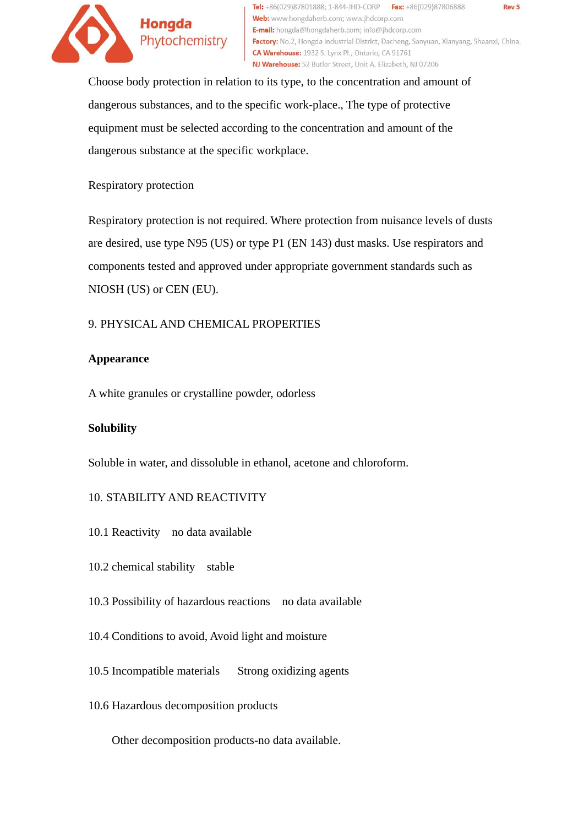

Tel: +86(029)87801888; 1-844-JHD-CORP Fax: +86(029)87806888 Web: www.hongdaherb.com; www.jhdcorp.com **E-mail:** hongda@hongdaherb.com; info@jhdcorp.com Factory: No.2, Hongda Industrial District, Dacheng, Sanyuan, Xianyang, Shaanxi, China. CA Warehouse: 1932 S. Lynx Pl., Ontario, CA 91761 NJ Warehouse: 52 Butler Street, Unit A. Elizabeth, NJ 07206

Choose body protection in relation to its type, to the concentration and amount of dangerous substances, and to the specific work-place., The type of protective equipment must be selected according to the concentration and amount of the dangerous substance at the specific workplace.

### Respiratory protection

Respiratory protection is not required. Where protection from nuisance levels of dusts are desired, use type N95 (US) or type P1 (EN 143) dust masks. Use respirators and components tested and approved under appropriate government standards such as NIOSH (US) or CEN (EU).

# 9. PHYSICAL AND CHEMICAL PROPERTIES

### **Appearance**

A white granules or crystalline powder, odorless

### **Solubility**

Soluble in water, and dissoluble in ethanol, acetone and chloroform.

### 10. STABILITY AND REACTIVITY

- 10.1 Reactivity no data available
- 10.2 chemical stability stable
- 10.3 Possibility of hazardous reactions no data available
- 10.4 Conditions to avoid, Avoid light and moisture
- 10.5 Incompatible materials Strong oxidizing agents
- 10.6 Hazardous decomposition products

Other decomposition products-no data available.

Rev<sub>5</sub>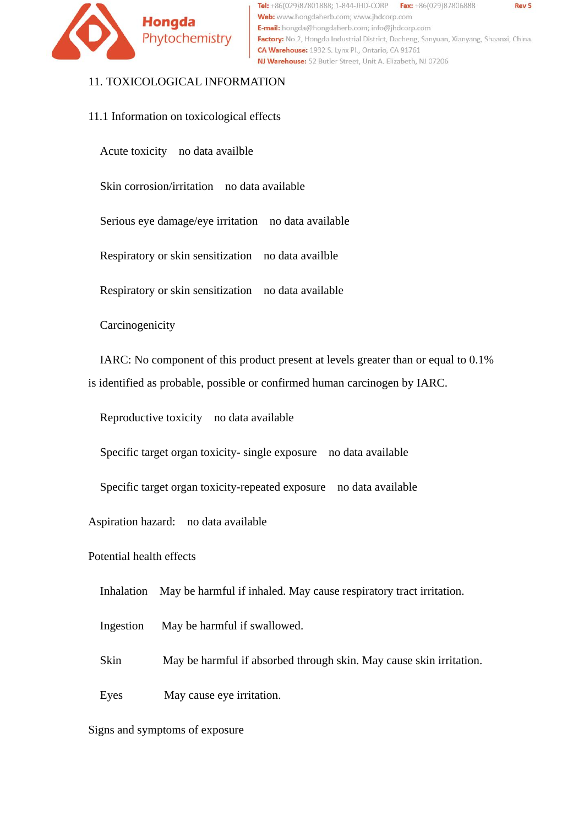

Tel: +86(029)87801888; 1-844-JHD-CORP Fax: +86(029)87806888 Web: www.hongdaherb.com; www.jhdcorp.com E-mail: hongda@hongdaherb.com; info@jhdcorp.com Factory: No.2, Hongda Industrial District, Dacheng, Sanyuan, Xianyang, Shaanxi, China. CA Warehouse: 1932 S. Lynx Pl., Ontario, CA 91761 NJ Warehouse: 52 Butler Street, Unit A. Elizabeth, NJ 07206

### 11. TOXICOLOGICAL INFORMATION

11.1 Information on toxicological effects

Acute toxicity no data availble

Skin corrosion/irritation no data available

Serious eye damage/eye irritation no data available

Respiratory or skin sensitization no data availble

Respiratory or skin sensitization no data available

Carcinogenicity

IARC: No component of this product present at levels greater than or equal to 0.1% is identified as probable, possible or confirmed human carcinogen by IARC.

Reproductive toxicity no data available

Specific target organ toxicity- single exposure no data available

Specific target organ toxicity-repeated exposure no data available

Aspiration hazard: no data available

Potential health effects

Inhalation May be harmful if inhaled. May cause respiratory tract irritation.

Ingestion May be harmful if swallowed.

Skin May be harmful if absorbed through skin. May cause skin irritation.

Eyes May cause eye irritation.

Signs and symptoms of exposure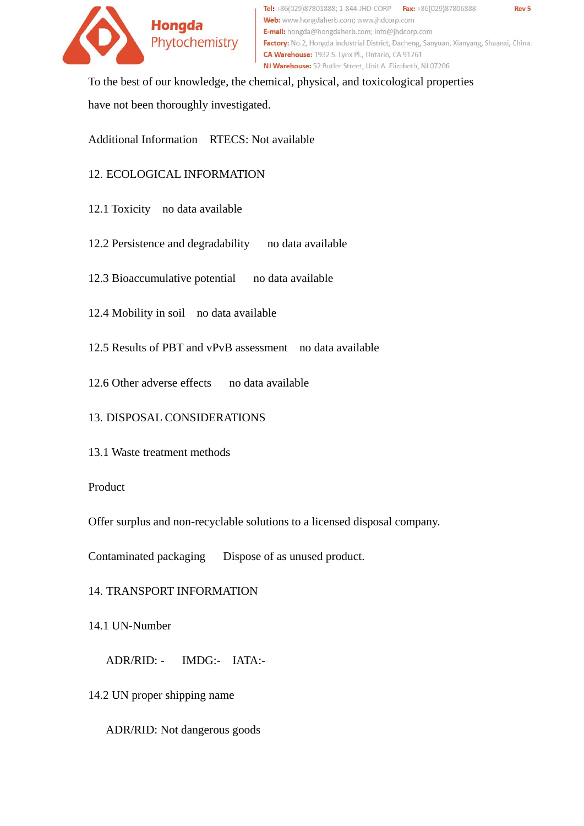

Tel: +86(029)87801888; 1-844-JHD-CORP Fax: +86(029)87806888 Rev<sub>5</sub> Web: www.hongdaherb.com; www.ihdcorp.com E-mail: hongda@hongdaherb.com; info@jhdcorp.com Factory: No.2, Hongda Industrial District, Dacheng, Sanyuan, Xianyang, Shaanxi, China. CA Warehouse: 1932 S. Lynx Pl., Ontario, CA 91761 NJ Warehouse: 52 Butler Street, Unit A. Elizabeth, NJ 07206

To the best of our knowledge, the chemical, physical, and toxicological properties have not been thoroughly investigated.

Additional Information RTECS: Not available

# 12. ECOLOGICAL INFORMATION

- 12.1 Toxicity no data available
- 12.2 Persistence and degradability no data available
- 12.3 Bioaccumulative potential no data available
- 12.4 Mobility in soil no data available
- 12.5 Results of PBT and vPvB assessment no data available
- 12.6 Other adverse effects no data available

# 13. DISPOSAL CONSIDERATIONS

13.1 Waste treatment methods

# Product

Offer surplus and non-recyclable solutions to a licensed disposal company.

Contaminated packaging Dispose of as unused product.

# 14. TRANSPORT INFORMATION

14.1 UN-Number

ADR/RID: - IMDG:- IATA:-

14.2 UN proper shipping name

ADR/RID: Not dangerous goods